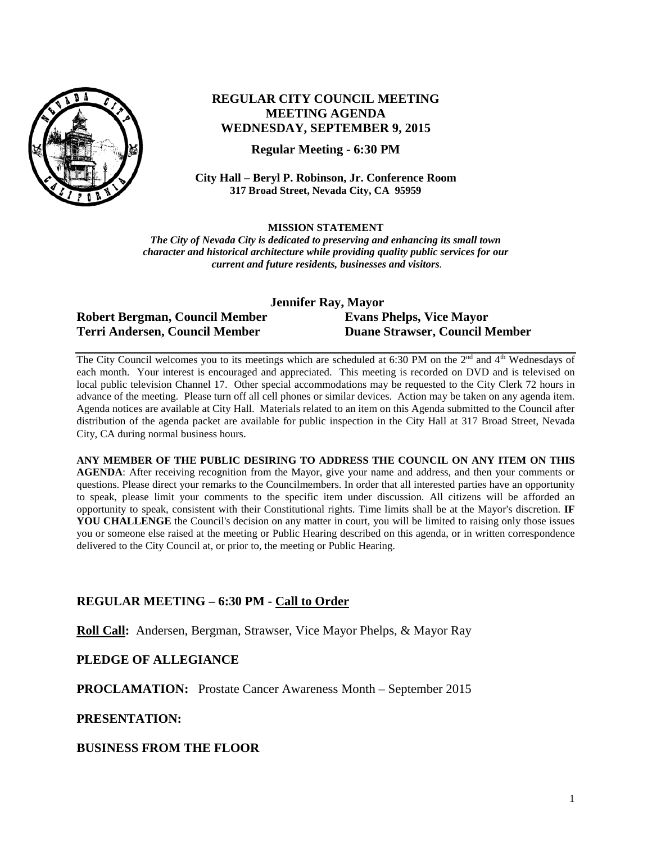

# **REGULAR CITY COUNCIL MEETING MEETING AGENDA WEDNESDAY, SEPTEMBER 9, 2015**

**Regular Meeting - 6:30 PM**

**City Hall – Beryl P. Robinson, Jr. Conference Room 317 Broad Street, Nevada City, CA 95959**

**MISSION STATEMENT**

*The City of Nevada City is dedicated to preserving and enhancing its small town character and historical architecture while providing quality public services for our current and future residents, businesses and visitors.*

| Jennifer Ray, Mayor            |                                       |
|--------------------------------|---------------------------------------|
| Robert Bergman, Council Member | <b>Evans Phelps, Vice Mayor</b>       |
| Terri Andersen, Council Member | <b>Duane Strawser, Council Member</b> |

The City Council welcomes you to its meetings which are scheduled at 6:30 PM on the 2<sup>nd</sup> and 4<sup>th</sup> Wednesdays of each month. Your interest is encouraged and appreciated. This meeting is recorded on DVD and is televised on local public television Channel 17. Other special accommodations may be requested to the City Clerk 72 hours in advance of the meeting. Please turn off all cell phones or similar devices. Action may be taken on any agenda item. Agenda notices are available at City Hall. Materials related to an item on this Agenda submitted to the Council after distribution of the agenda packet are available for public inspection in the City Hall at 317 Broad Street, Nevada City, CA during normal business hours.

**ANY MEMBER OF THE PUBLIC DESIRING TO ADDRESS THE COUNCIL ON ANY ITEM ON THIS AGENDA**: After receiving recognition from the Mayor, give your name and address, and then your comments or questions. Please direct your remarks to the Councilmembers. In order that all interested parties have an opportunity to speak, please limit your comments to the specific item under discussion. All citizens will be afforded an opportunity to speak, consistent with their Constitutional rights. Time limits shall be at the Mayor's discretion. **IF**  YOU CHALLENGE the Council's decision on any matter in court, you will be limited to raising only those issues you or someone else raised at the meeting or Public Hearing described on this agenda, or in written correspondence delivered to the City Council at, or prior to, the meeting or Public Hearing.

### **REGULAR MEETING – 6:30 PM - Call to Order**

**Roll Call:** Andersen, Bergman, Strawser, Vice Mayor Phelps, & Mayor Ray

### **PLEDGE OF ALLEGIANCE**

**PROCLAMATION:** Prostate Cancer Awareness Month – September 2015

#### **PRESENTATION:**

**BUSINESS FROM THE FLOOR**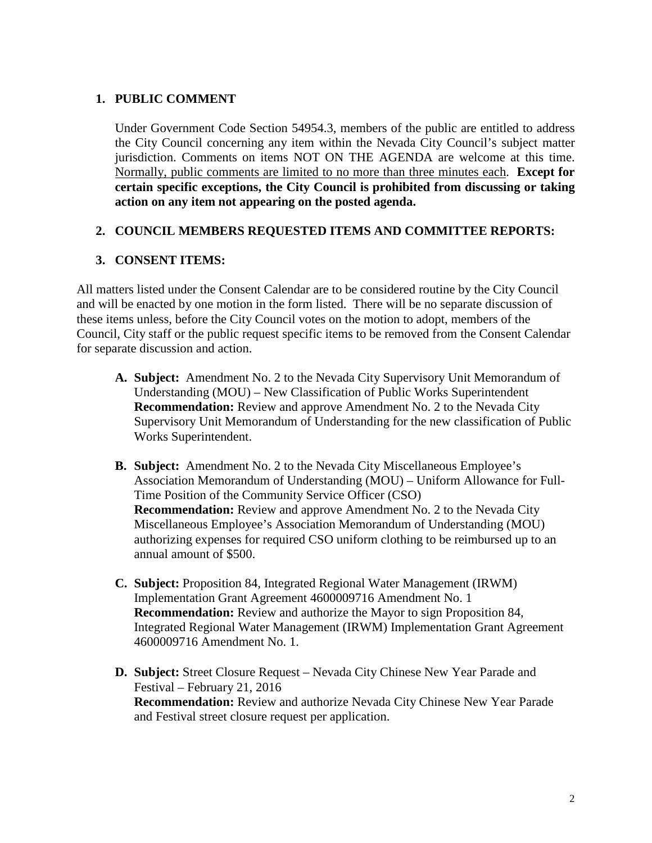### **1. PUBLIC COMMENT**

Under Government Code Section 54954.3, members of the public are entitled to address the City Council concerning any item within the Nevada City Council's subject matter jurisdiction. Comments on items NOT ON THE AGENDA are welcome at this time. Normally, public comments are limited to no more than three minutes each. **Except for certain specific exceptions, the City Council is prohibited from discussing or taking action on any item not appearing on the posted agenda.**

### **2. COUNCIL MEMBERS REQUESTED ITEMS AND COMMITTEE REPORTS:**

## **3. CONSENT ITEMS:**

All matters listed under the Consent Calendar are to be considered routine by the City Council and will be enacted by one motion in the form listed. There will be no separate discussion of these items unless, before the City Council votes on the motion to adopt, members of the Council, City staff or the public request specific items to be removed from the Consent Calendar for separate discussion and action.

- **A. Subject:** Amendment No. 2 to the Nevada City Supervisory Unit Memorandum of Understanding (MOU) – New Classification of Public Works Superintendent **Recommendation:** Review and approve Amendment No. 2 to the Nevada City Supervisory Unit Memorandum of Understanding for the new classification of Public Works Superintendent.
- **B. Subject:** Amendment No. 2 to the Nevada City Miscellaneous Employee's Association Memorandum of Understanding (MOU) – Uniform Allowance for Full-Time Position of the Community Service Officer (CSO) **Recommendation:** Review and approve Amendment No. 2 to the Nevada City Miscellaneous Employee's Association Memorandum of Understanding (MOU) authorizing expenses for required CSO uniform clothing to be reimbursed up to an annual amount of \$500.
- **C. Subject:** Proposition 84, Integrated Regional Water Management (IRWM) Implementation Grant Agreement 4600009716 Amendment No. 1 **Recommendation:** Review and authorize the Mayor to sign Proposition 84, Integrated Regional Water Management (IRWM) Implementation Grant Agreement 4600009716 Amendment No. 1.
- **D. Subject:** Street Closure Request Nevada City Chinese New Year Parade and Festival – February 21, 2016 **Recommendation:** Review and authorize Nevada City Chinese New Year Parade and Festival street closure request per application.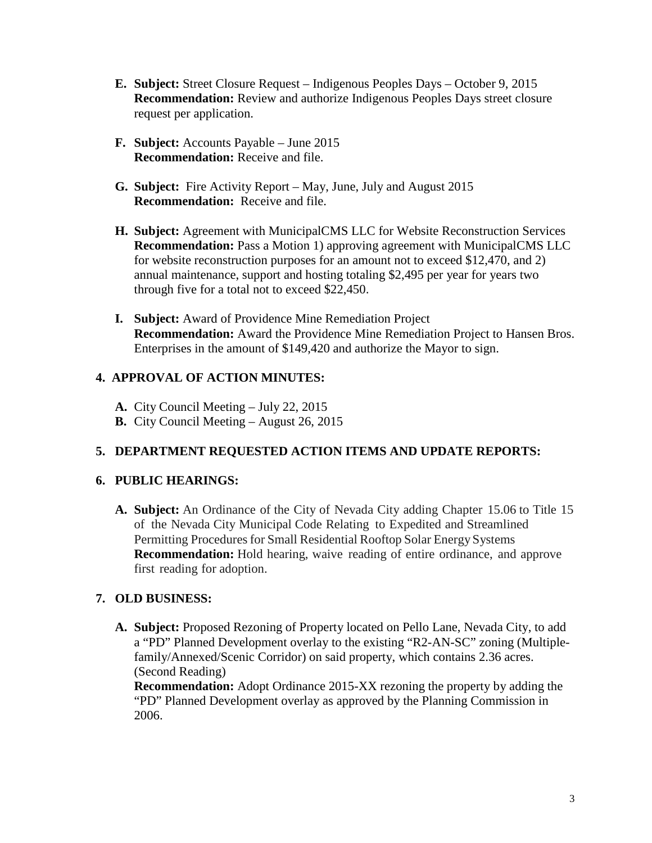- **E. Subject:** Street Closure Request Indigenous Peoples Days October 9, 2015 **Recommendation:** Review and authorize Indigenous Peoples Days street closure request per application.
- **F. Subject:** Accounts Payable June 2015 **Recommendation:** Receive and file.
- **G. Subject:** Fire Activity Report May, June, July and August 2015 **Recommendation:** Receive and file.
- **H. Subject:** Agreement with MunicipalCMS LLC for Website Reconstruction Services **Recommendation:** Pass a Motion 1) approving agreement with MunicipalCMS LLC for website reconstruction purposes for an amount not to exceed \$12,470, and 2) annual maintenance, support and hosting totaling \$2,495 per year for years two through five for a total not to exceed \$22,450.
- **I. Subject:** Award of Providence Mine Remediation Project **Recommendation:** Award the Providence Mine Remediation Project to Hansen Bros. Enterprises in the amount of \$149,420 and authorize the Mayor to sign.

# **4. APPROVAL OF ACTION MINUTES:**

- **A.** City Council Meeting July 22, 2015
- **B.** City Council Meeting August 26, 2015

# **5. DEPARTMENT REQUESTED ACTION ITEMS AND UPDATE REPORTS:**

# **6. PUBLIC HEARINGS:**

**A. Subject:** An Ordinance of the City of Nevada City adding Chapter 15.06 to Title 15 of the Nevada City Municipal Code Relating to Expedited and Streamlined Permitting Procedures for Small Residential Rooftop Solar Energy Systems **Recommendation:** Hold hearing, waive reading of entire ordinance, and approve first reading for adoption.

# **7. OLD BUSINESS:**

**A. Subject:** Proposed Rezoning of Property located on Pello Lane, Nevada City, to add a "PD" Planned Development overlay to the existing "R2-AN-SC" zoning (Multiplefamily/Annexed/Scenic Corridor) on said property, which contains 2.36 acres. (Second Reading)

**Recommendation:** Adopt Ordinance 2015-XX rezoning the property by adding the "PD" Planned Development overlay as approved by the Planning Commission in 2006.